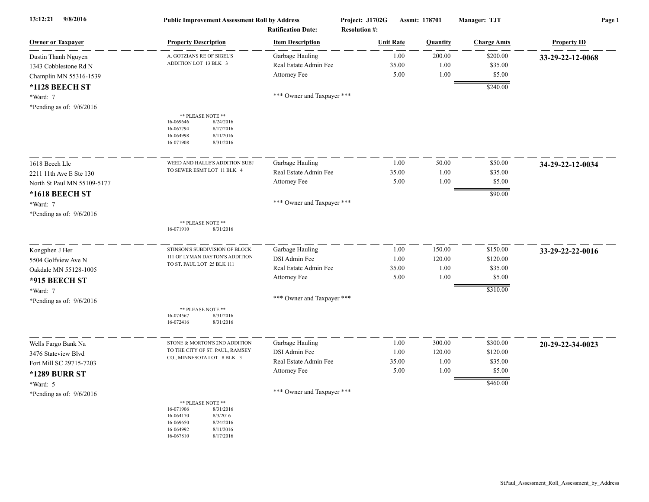| 13:12:21<br>9/8/2016                                                   | <b>Public Improvement Assessment Roll by Address</b>                                                                                               | <b>Ratification Date:</b>                                | Project: J1702G<br><b>Resolution #:</b> |                       | Assmt: 178701          | Manager: TJT                  | Page 1             |
|------------------------------------------------------------------------|----------------------------------------------------------------------------------------------------------------------------------------------------|----------------------------------------------------------|-----------------------------------------|-----------------------|------------------------|-------------------------------|--------------------|
| <b>Owner or Taxpayer</b>                                               | <b>Property Description</b>                                                                                                                        | <b>Item Description</b>                                  |                                         | <b>Unit Rate</b>      | <b>Quantity</b>        | <b>Charge Amts</b>            | <b>Property ID</b> |
| Dustin Thanh Nguyen<br>1343 Cobblestone Rd N<br>Champlin MN 55316-1539 | A. GOTZIANS RE OF SIGEL'S<br>ADDITION LOT 13 BLK 3                                                                                                 | Garbage Hauling<br>Real Estate Admin Fee<br>Attorney Fee |                                         | 1.00<br>35.00<br>5.00 | 200.00<br>1.00<br>1.00 | \$200.00<br>\$35.00<br>\$5.00 | 33-29-22-12-0068   |
| *1128 BEECH ST<br>*Ward: 7<br>*Pending as of: $9/6/2016$               |                                                                                                                                                    | *** Owner and Taxpayer ***                               |                                         |                       |                        | \$240.00                      |                    |
|                                                                        | ** PLEASE NOTE **<br>16-069646<br>8/24/2016<br>16-067794<br>8/17/2016<br>16-064998<br>8/11/2016<br>8/31/2016<br>16-071908                          |                                                          |                                         |                       |                        |                               |                    |
| 1618 Beech Llc                                                         | WEED AND HALLE'S ADDITION SUBJ                                                                                                                     | Garbage Hauling                                          |                                         | 1.00                  | 50.00                  | \$50.00                       | 34-29-22-12-0034   |
| 2211 11th Ave E Ste 130                                                | TO SEWER ESMT LOT 11 BLK 4                                                                                                                         | Real Estate Admin Fee                                    |                                         | 35.00                 | 1.00                   | \$35.00                       |                    |
| North St Paul MN 55109-5177                                            |                                                                                                                                                    | Attorney Fee                                             |                                         | 5.00                  | 1.00                   | \$5.00                        |                    |
| *1618 BEECH ST                                                         |                                                                                                                                                    | *** Owner and Taxpayer ***                               |                                         |                       |                        | \$90.00                       |                    |
| *Ward: 7                                                               |                                                                                                                                                    |                                                          |                                         |                       |                        |                               |                    |
| *Pending as of: $9/6/2016$                                             | ** PLEASE NOTE **<br>8/31/2016<br>16-071910                                                                                                        |                                                          |                                         |                       |                        |                               |                    |
| Kongphen J Her                                                         | STINSON'S SUBDIVISION OF BLOCK                                                                                                                     | Garbage Hauling                                          |                                         | 1.00                  | 150.00                 | \$150.00                      | 33-29-22-22-0016   |
| 5504 Golfview Ave N                                                    | 111 OF LYMAN DAYTON'S ADDITION<br>TO ST. PAUL LOT 25 BLK 111                                                                                       | DSI Admin Fee                                            |                                         | 1.00                  | 120.00                 | \$120.00                      |                    |
| Oakdale MN 55128-1005                                                  |                                                                                                                                                    | Real Estate Admin Fee                                    |                                         | 35.00                 | 1.00                   | \$35.00                       |                    |
| *915 BEECH ST                                                          |                                                                                                                                                    | Attorney Fee                                             |                                         | 5.00                  | 1.00                   | \$5.00                        |                    |
| *Ward: 7                                                               |                                                                                                                                                    |                                                          |                                         |                       |                        | \$310.00                      |                    |
| *Pending as of: $9/6/2016$                                             | ** PLEASE NOTE **<br>16-074567<br>8/31/2016<br>16-072416<br>8/31/2016                                                                              | *** Owner and Taxpayer ***                               |                                         |                       |                        |                               |                    |
| Wells Fargo Bank Na                                                    | STONE & MORTON'S 2ND ADDITION                                                                                                                      | Garbage Hauling                                          |                                         | 1.00                  | 300.00                 | \$300.00                      | 20-29-22-34-0023   |
| 3476 Stateview Blvd                                                    | TO THE CITY OF ST. PAUL, RAMSEY                                                                                                                    | DSI Admin Fee                                            |                                         | 1.00                  | 120.00                 | \$120.00                      |                    |
| Fort Mill SC 29715-7203                                                | CO., MINNESOTA LOT 8 BLK 3                                                                                                                         | Real Estate Admin Fee                                    |                                         | 35.00                 | 1.00                   | \$35.00                       |                    |
| <b>*1289 BURR ST</b>                                                   |                                                                                                                                                    | Attorney Fee                                             |                                         | 5.00                  | 1.00                   | \$5.00                        |                    |
| *Ward: 5                                                               |                                                                                                                                                    |                                                          |                                         |                       |                        | \$460.00                      |                    |
| *Pending as of: $9/6/2016$                                             |                                                                                                                                                    | *** Owner and Taxpayer ***                               |                                         |                       |                        |                               |                    |
|                                                                        | ** PLEASE NOTE **<br>16-071906<br>8/31/2016<br>8/3/2016<br>16-064170<br>16-069650<br>8/24/2016<br>16-064992<br>8/11/2016<br>8/17/2016<br>16-067810 |                                                          |                                         |                       |                        |                               |                    |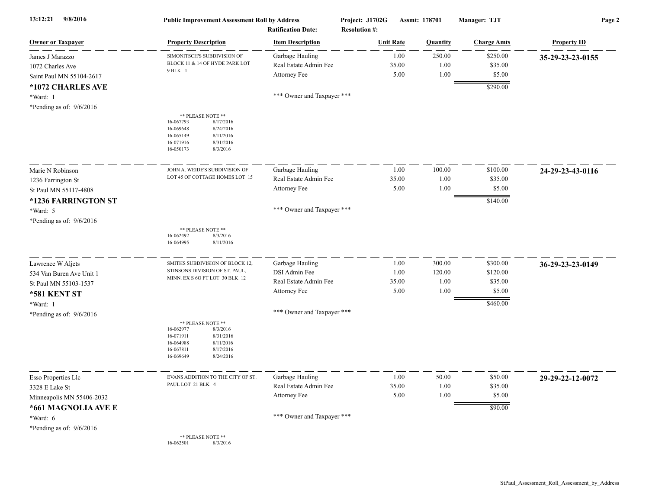| 13:12:21<br>9/8/2016                                            | <b>Public Improvement Assessment Roll by Address</b><br><b>Ratification Date:</b>                                                                  |                                                          | Project: J1702G<br>Assmt: 178701<br><b>Resolution #:</b> |                        | Manager: TJT                  | Page 2             |  |
|-----------------------------------------------------------------|----------------------------------------------------------------------------------------------------------------------------------------------------|----------------------------------------------------------|----------------------------------------------------------|------------------------|-------------------------------|--------------------|--|
| <b>Owner or Taxpayer</b>                                        | <b>Property Description</b>                                                                                                                        | <b>Item Description</b>                                  | <b>Unit Rate</b>                                         | Quantity               | <b>Charge Amts</b>            | <b>Property ID</b> |  |
| James J Marazzo<br>1072 Charles Ave<br>Saint Paul MN 55104-2617 | SIMONITSCH'S SUBDIVISION OF<br>BLOCK 11 & 14 OF HYDE PARK LOT<br>9 BLK 1                                                                           | Garbage Hauling<br>Real Estate Admin Fee<br>Attorney Fee | 1.00<br>35.00<br>5.00                                    | 250.00<br>1.00<br>1.00 | \$250.00<br>\$35.00<br>\$5.00 | 35-29-23-23-0155   |  |
| *1072 CHARLES AVE<br>*Ward: 1<br>*Pending as of: $9/6/2016$     |                                                                                                                                                    | *** Owner and Taxpayer ***                               |                                                          |                        | \$290.00                      |                    |  |
|                                                                 | ** PLEASE NOTE **<br>16-067793<br>8/17/2016<br>16-069648<br>8/24/2016<br>16-065149<br>8/11/2016<br>16-071916<br>8/31/2016<br>16-050173<br>8/3/2016 |                                                          |                                                          |                        |                               |                    |  |
| Marie N Robinson                                                | JOHN A. WEIDE'S SUBDIVISION OF                                                                                                                     | Garbage Hauling                                          | 1.00                                                     | 100.00                 | \$100.00                      | 24-29-23-43-0116   |  |
| 1236 Farrington St                                              | LOT 45 OF COTTAGE HOMES LOT 15                                                                                                                     | Real Estate Admin Fee                                    | 35.00                                                    | 1.00                   | \$35.00                       |                    |  |
| St Paul MN 55117-4808                                           |                                                                                                                                                    | Attorney Fee                                             | 5.00                                                     | 1.00                   | \$5.00                        |                    |  |
| *1236 FARRINGTON ST<br>*Ward: 5<br>*Pending as of: $9/6/2016$   |                                                                                                                                                    | *** Owner and Taxpayer ***                               |                                                          |                        | \$140.00                      |                    |  |
|                                                                 | ** PLEASE NOTE **<br>16-062492<br>8/3/2016<br>16-064995<br>8/11/2016                                                                               |                                                          |                                                          |                        |                               |                    |  |
| Lawrence W Aljets                                               | SMITHS SUBDIVISION OF BLOCK 12,                                                                                                                    | Garbage Hauling                                          | 1.00                                                     | 300.00                 | \$300.00                      | 36-29-23-23-0149   |  |
| 534 Van Buren Ave Unit 1                                        | STINSONS DIVISION OF ST. PAUL,<br>MINN. EX S 6O FT LOT 30 BLK 12                                                                                   | DSI Admin Fee                                            | 1.00                                                     | 120.00                 | \$120.00                      |                    |  |
| St Paul MN 55103-1537                                           |                                                                                                                                                    | Real Estate Admin Fee                                    | 35.00<br>5.00                                            | 1.00<br>1.00           | \$35.00<br>\$5.00             |                    |  |
| <b>*581 KENT ST</b>                                             |                                                                                                                                                    | Attorney Fee                                             |                                                          |                        |                               |                    |  |
| *Ward: 1<br>*Pending as of: $9/6/2016$                          | ** PLEASE NOTE **<br>8/3/2016<br>16-062977                                                                                                         | *** Owner and Taxpayer ***                               |                                                          |                        | \$460.00                      |                    |  |
|                                                                 | 16-071911<br>8/31/2016<br>8/11/2016<br>16-064988<br>16-067811<br>8/17/2016<br>16-069649<br>8/24/2016                                               |                                                          |                                                          |                        |                               |                    |  |
| Esso Properties Llc                                             | EVANS ADDITION TO THE CITY OF ST.                                                                                                                  | Garbage Hauling                                          | 1.00                                                     | 50.00                  | \$50.00                       | 29-29-22-12-0072   |  |
| 3328 E Lake St                                                  | PAUL LOT 21 BLK 4                                                                                                                                  | Real Estate Admin Fee                                    | 35.00                                                    | $1.00\,$               | \$35.00                       |                    |  |
| Minneapolis MN 55406-2032                                       |                                                                                                                                                    | Attorney Fee                                             | 5.00                                                     | 1.00                   | \$5.00                        |                    |  |
| *661 MAGNOLIA AVE E<br>*Ward: 6                                 |                                                                                                                                                    | *** Owner and Taxpayer ***                               |                                                          |                        | \$90.00                       |                    |  |
| *Pending as of: $9/6/2016$                                      | ** PLEASE NOTE **<br>16-062501<br>8/3/2016                                                                                                         |                                                          |                                                          |                        |                               |                    |  |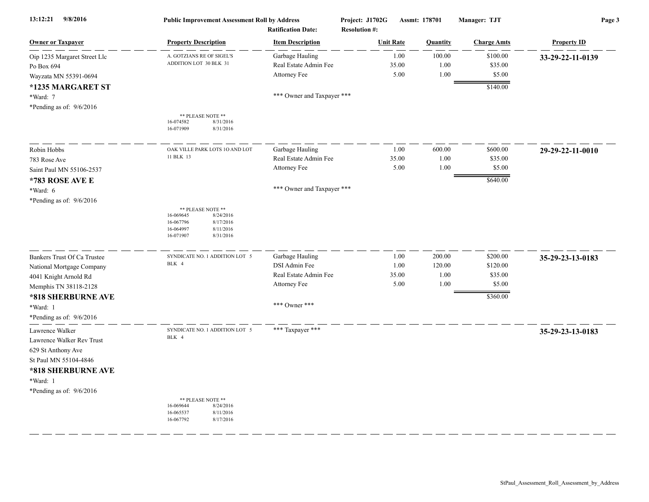| 13:12:21<br>9/8/2016         | <b>Public Improvement Assessment Roll by Address</b>                                                                      | <b>Ratification Date:</b>  | Project: J1702G<br><b>Resolution #:</b> | Assmt: 178701 | Manager: TJT       | Page 3             |
|------------------------------|---------------------------------------------------------------------------------------------------------------------------|----------------------------|-----------------------------------------|---------------|--------------------|--------------------|
| <b>Owner or Taxpayer</b>     | <b>Property Description</b>                                                                                               | <b>Item Description</b>    | <b>Unit Rate</b>                        | Quantity      | <b>Charge Amts</b> | <b>Property ID</b> |
| Oip 1235 Margaret Street Llc | A. GOTZIANS RE OF SIGEL'S                                                                                                 | Garbage Hauling            | 1.00                                    | 100.00        | \$100.00           | 33-29-22-11-0139   |
| Po Box 694                   | ADDITION LOT 30 BLK 31                                                                                                    | Real Estate Admin Fee      | 35.00                                   | 1.00          | \$35.00            |                    |
| Wayzata MN 55391-0694        |                                                                                                                           | Attorney Fee               | 5.00                                    | 1.00          | \$5.00             |                    |
| *1235 MARGARET ST            |                                                                                                                           |                            |                                         |               | \$140.00           |                    |
| *Ward: 7                     |                                                                                                                           | *** Owner and Taxpayer *** |                                         |               |                    |                    |
| *Pending as of: 9/6/2016     |                                                                                                                           |                            |                                         |               |                    |                    |
|                              | ** PLEASE NOTE **<br>16-074582<br>8/31/2016<br>16-071909<br>8/31/2016                                                     |                            |                                         |               |                    |                    |
| Robin Hobbs                  | OAK VILLE PARK LOTS 10 AND LOT                                                                                            | Garbage Hauling            | 1.00                                    | 600.00        | \$600.00           | 29-29-22-11-0010   |
| 783 Rose Ave                 | 11 BLK 13                                                                                                                 | Real Estate Admin Fee      | 35.00                                   | 1.00          | \$35.00            |                    |
| Saint Paul MN 55106-2537     |                                                                                                                           | Attorney Fee               | 5.00                                    | 1.00          | \$5.00             |                    |
| *783 ROSE AVE E              |                                                                                                                           |                            |                                         |               | \$640.00           |                    |
| *Ward: 6                     |                                                                                                                           | *** Owner and Taxpayer *** |                                         |               |                    |                    |
| *Pending as of: $9/6/2016$   |                                                                                                                           |                            |                                         |               |                    |                    |
|                              | ** PLEASE NOTE **<br>16-069645<br>8/24/2016<br>16-067796<br>8/17/2016<br>16-064997<br>8/11/2016<br>16-071907<br>8/31/2016 |                            |                                         |               |                    |                    |
| Bankers Trust Of Ca Trustee  | SYNDICATE NO. 1 ADDITION LOT 5                                                                                            | Garbage Hauling            | 1.00                                    | 200.00        | \$200.00           | 35-29-23-13-0183   |
| National Mortgage Company    | BLK 4                                                                                                                     | DSI Admin Fee              | 1.00                                    | 120.00        | \$120.00           |                    |
| 4041 Knight Arnold Rd        |                                                                                                                           | Real Estate Admin Fee      | 35.00                                   | 1.00          | \$35.00            |                    |
| Memphis TN 38118-2128        |                                                                                                                           | Attorney Fee               | 5.00                                    | 1.00          | \$5.00             |                    |
| *818 SHERBURNE AVE           |                                                                                                                           |                            |                                         |               | \$360.00           |                    |
| *Ward: 1                     |                                                                                                                           | *** Owner ***              |                                         |               |                    |                    |
| *Pending as of: $9/6/2016$   |                                                                                                                           |                            |                                         |               |                    |                    |
| Lawrence Walker              | SYNDICATE NO. 1 ADDITION LOT 5                                                                                            | *** Taxpayer ***           |                                         |               |                    | 35-29-23-13-0183   |
| Lawrence Walker Rev Trust    | BLK 4                                                                                                                     |                            |                                         |               |                    |                    |
| 629 St Anthony Ave           |                                                                                                                           |                            |                                         |               |                    |                    |
| St Paul MN 55104-4846        |                                                                                                                           |                            |                                         |               |                    |                    |
| *818 SHERBURNE AVE           |                                                                                                                           |                            |                                         |               |                    |                    |
| *Ward: 1                     |                                                                                                                           |                            |                                         |               |                    |                    |
| *Pending as of: $9/6/2016$   |                                                                                                                           |                            |                                         |               |                    |                    |
|                              | ** PLEASE NOTE **<br>16-069644<br>8/24/2016<br>16-065537<br>8/11/2016<br>16-067792<br>8/17/2016                           |                            |                                         |               |                    |                    |